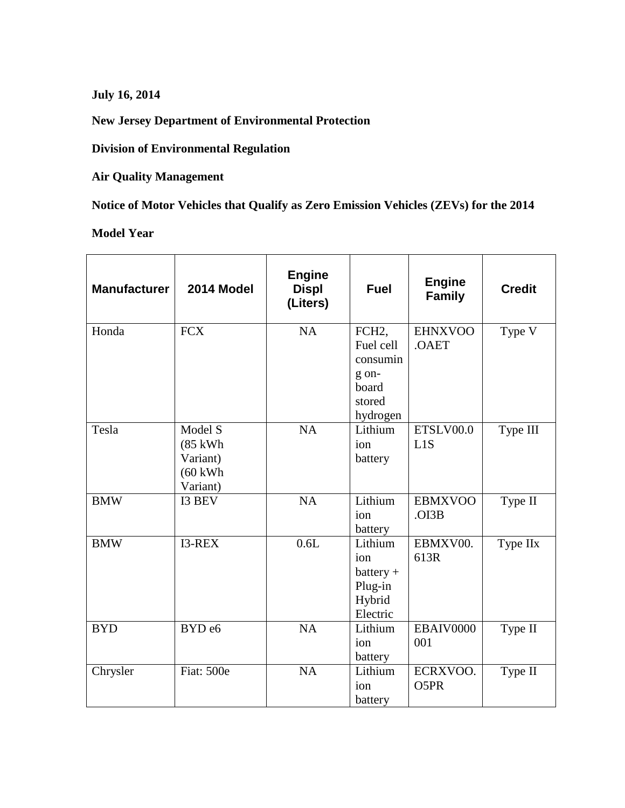**July 16, 2014**

**New Jersey Department of Environmental Protection**

**Division of Environmental Regulation**

**Air Quality Management**

**Notice of Motor Vehicles that Qualify as Zero Emission Vehicles (ZEVs) for the 2014**

**Model Year**

| <b>Manufacturer</b> | 2014 Model                                                       | <b>Engine</b><br><b>Displ</b><br>(Liters) | <b>Fuel</b>                                                                       | <b>Engine</b><br><b>Family</b> | <b>Credit</b> |
|---------------------|------------------------------------------------------------------|-------------------------------------------|-----------------------------------------------------------------------------------|--------------------------------|---------------|
| Honda               | <b>FCX</b>                                                       | <b>NA</b>                                 | FCH <sub>2</sub><br>Fuel cell<br>consumin<br>g on-<br>board<br>stored<br>hydrogen | <b>EHNXVOO</b><br>.OAET        | Type V        |
| Tesla               | Model S<br>(85 kWh<br>Variant)<br>$(60 \text{ kWh})$<br>Variant) | NA                                        | Lithium<br>ion<br>battery                                                         | ETSLV00.0<br>L1S               | Type III      |
| <b>BMW</b>          | I3 BEV                                                           | NA                                        | Lithium<br>ion<br>battery                                                         | <b>EBMXVOO</b><br>.OI3B        | Type II       |
| <b>BMW</b>          | I3-REX                                                           | 0.6L                                      | Lithium<br>ion<br>$battery +$<br>Plug-in<br>Hybrid<br>Electric                    | EBMXV00.<br>613R               | Type IIx      |
| <b>BYD</b>          | BYD <sub>e6</sub>                                                | <b>NA</b>                                 | Lithium<br>ion<br>battery                                                         | EBAIV0000<br>001               | Type II       |
| Chrysler            | Fiat: 500e                                                       | <b>NA</b>                                 | Lithium<br>ion<br>battery                                                         | ECRXVOO.<br>O5PR               | Type II       |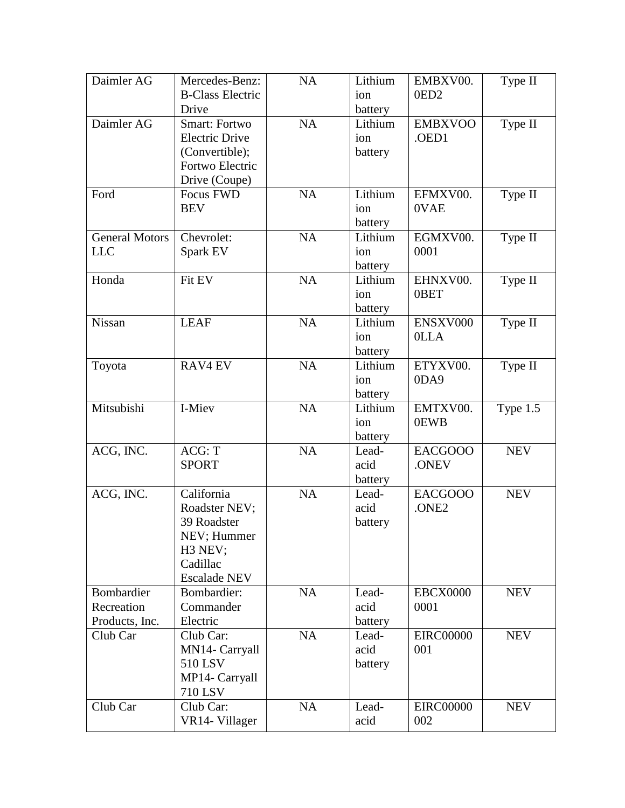| Daimler AG            | Mercedes-Benz:              | NA        | Lithium       | EMBXV00.                | Type II              |
|-----------------------|-----------------------------|-----------|---------------|-------------------------|----------------------|
|                       | <b>B-Class Electric</b>     |           | ion           | 0ED <sub>2</sub>        |                      |
|                       | Drive                       |           | battery       |                         |                      |
| Daimler AG            | <b>Smart: Fortwo</b>        | <b>NA</b> | Lithium       | <b>EMBXVOO</b>          | Type II              |
|                       | <b>Electric Drive</b>       |           | ion           | .OED1                   |                      |
|                       | (Convertible);              |           | battery       |                         |                      |
|                       | Fortwo Electric             |           |               |                         |                      |
|                       | Drive (Coupe)               |           |               |                         |                      |
| Ford                  | Focus FWD                   | <b>NA</b> | Lithium       | EFMXV00.                | Type II              |
|                       | <b>BEV</b>                  |           | ion           | 0VAE                    |                      |
|                       |                             |           | battery       |                         |                      |
| <b>General Motors</b> | Chevrolet:                  | NA        | Lithium       | EGMXV00.                | Type II              |
| <b>LLC</b>            | Spark EV                    |           | ion           | 0001                    |                      |
|                       |                             |           | battery       |                         |                      |
| Honda                 | Fit EV                      | NA        | Lithium       | EHNXV00.                | Type II              |
|                       |                             |           | ion           | 0BET                    |                      |
|                       |                             |           | battery       |                         |                      |
| Nissan                | <b>LEAF</b>                 | <b>NA</b> | Lithium       | ENSXV000                | Type $\overline{II}$ |
|                       |                             |           | ion           | <b>OLLA</b>             |                      |
|                       |                             |           | battery       |                         |                      |
| Toyota                | <b>RAV4 EV</b>              | <b>NA</b> | Lithium       | ETYXV00.                | Type II              |
|                       |                             |           | ion           | 0DA9                    |                      |
|                       |                             |           | battery       |                         |                      |
| Mitsubishi            | I-Miev                      | NA        | Lithium       | EMTXV00.                | Type 1.5             |
|                       |                             |           |               |                         |                      |
|                       |                             |           |               |                         |                      |
|                       |                             |           | ion           | 0EWB                    |                      |
|                       | ACG: T                      |           | battery       |                         |                      |
| ACG, INC.             |                             | <b>NA</b> | Lead-         | <b>EACGOOO</b>          | <b>NEV</b>           |
|                       | <b>SPORT</b>                |           | acid          | .ONEV                   |                      |
|                       |                             |           | battery       |                         |                      |
| ACG, INC.             | California                  | <b>NA</b> | Lead-         | <b>EACGOOO</b>          | <b>NEV</b>           |
|                       | Roadster NEV;               |           | acid          | .ONE2                   |                      |
|                       | 39 Roadster                 |           | battery       |                         |                      |
|                       | NEV; Hummer                 |           |               |                         |                      |
|                       | H3 NEV;                     |           |               |                         |                      |
|                       | Cadillac                    |           |               |                         |                      |
|                       | <b>Escalade NEV</b>         |           |               |                         |                      |
| Bombardier            | Bombardier:                 | NA        | Lead-         | <b>EBCX0000</b>         | <b>NEV</b>           |
| Recreation            | Commander                   |           | acid          | 0001                    |                      |
| Products, Inc.        | Electric                    |           | battery       |                         |                      |
| Club Car              | Club Car:                   | NA        | Lead-         | <b>EIRC00000</b>        | <b>NEV</b>           |
|                       | MN14- Carryall              |           | acid          | 001                     |                      |
|                       | 510 LSV                     |           | battery       |                         |                      |
|                       | MP14- Carryall              |           |               |                         |                      |
|                       | 710 LSV                     |           |               |                         |                      |
| Club Car              | Club Car:<br>VR14- Villager | NA        | Lead-<br>acid | <b>EIRC00000</b><br>002 | <b>NEV</b>           |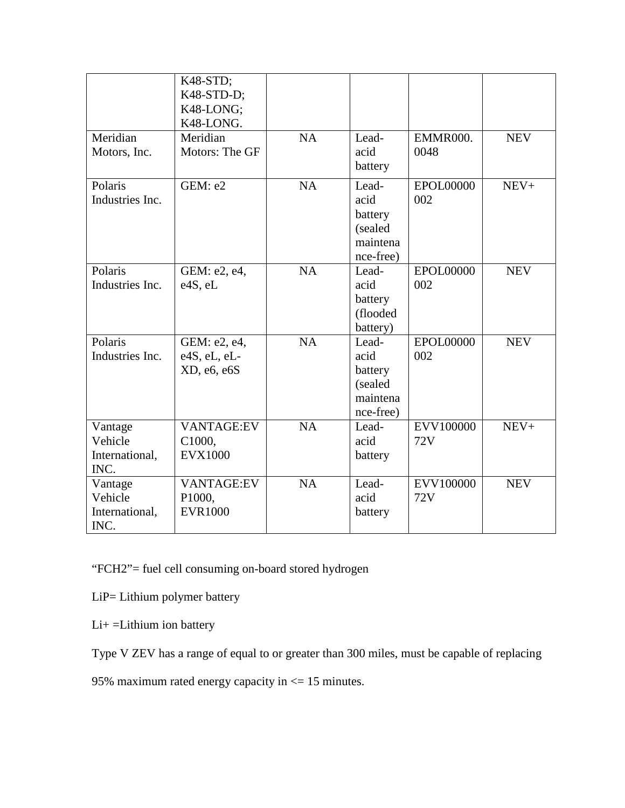| Meridian<br>Motors, Inc.                     | K48-STD;<br>K48-STD-D;<br>K48-LONG;<br>K48-LONG.<br>Meridian<br>Motors: The GF | <b>NA</b> | Lead-<br>acid<br>battery                                     | EMMR000.<br>0048        | <b>NEV</b> |
|----------------------------------------------|--------------------------------------------------------------------------------|-----------|--------------------------------------------------------------|-------------------------|------------|
| Polaris<br>Industries Inc.                   | GEM: e2                                                                        | NA        | Lead-<br>acid<br>battery<br>(sealed<br>maintena<br>nce-free) | <b>EPOL00000</b><br>002 | $NEV+$     |
| Polaris<br>Industries Inc.                   | GEM: e2, e4,<br>e4S, eL                                                        | <b>NA</b> | Lead-<br>acid<br>battery<br>(flooded<br>battery)             | EPOL00000<br>002        | <b>NEV</b> |
| Polaris<br>Industries Inc.                   | GEM: e2, e4,<br>e4S, eL, eL-<br>XD, e6, e6S                                    | <b>NA</b> | Lead-<br>acid<br>battery<br>(sealed<br>maintena<br>nce-free) | EPOL00000<br>002        | <b>NEV</b> |
| Vantage<br>Vehicle<br>International,<br>INC. | <b>VANTAGE:EV</b><br>C1000,<br><b>EVX1000</b>                                  | NA        | Lead-<br>acid<br>battery                                     | EVV100000<br>72V        | $NEV+$     |
| Vantage<br>Vehicle<br>International,<br>INC. | <b>VANTAGE:EV</b><br>P1000,<br><b>EVR1000</b>                                  | <b>NA</b> | Lead-<br>acid<br>battery                                     | EVV100000<br>72V        | <b>NEV</b> |

"FCH2"= fuel cell consuming on-board stored hydrogen

LiP= Lithium polymer battery

Li+ =Lithium ion battery

Type V ZEV has a range of equal to or greater than 300 miles, must be capable of replacing

95% maximum rated energy capacity in <= 15 minutes.